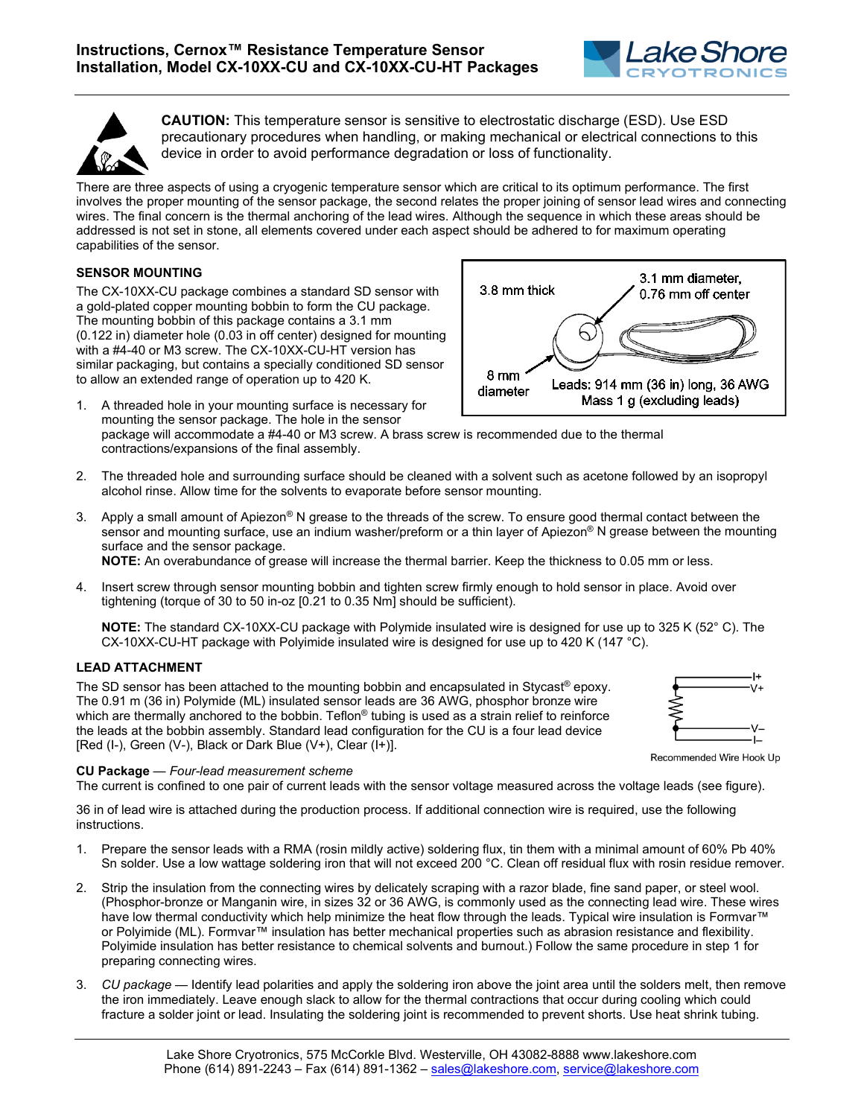



**CAUTION:** This temperature sensor is sensitive to electrostatic discharge (ESD). Use ESD precautionary procedures when handling, or making mechanical or electrical connections to this device in order to avoid performance degradation or loss of functionality.

There are three aspects of using a cryogenic temperature sensor which are critical to its optimum performance. The first involves the proper mounting of the sensor package, the second relates the proper joining of sensor lead wires and connecting wires. The final concern is the thermal anchoring of the lead wires. Although the sequence in which these areas should be addressed is not set in stone, all elements covered under each aspect should be adhered to for maximum operating capabilities of the sensor.

# **SENSOR MOUNTING**

The CX-10XX-CU package combines a standard SD sensor with a gold-plated copper mounting bobbin to form the CU package. The mounting bobbin of this package contains a 3.1 mm (0.122 in) diameter hole (0.03 in off center) designed for mounting with a #4-40 or M3 screw. The CX-10XX-CU-HT version has similar packaging, but contains a specially conditioned SD sensor to allow an extended range of operation up to 420 K.

- 1. A threaded hole in your mounting surface is necessary for mounting the sensor package. The hole in the sensor package will accommodate a #4-40 or M3 screw. A brass screw is recommended due to the thermal contractions/expansions of the final assembly.
- 2. The threaded hole and surrounding surface should be cleaned with a solvent such as acetone followed by an isopropyl alcohol rinse. Allow time for the solvents to evaporate before sensor mounting.
- 3. Apply a small amount of Apiezon<sup>®</sup> N grease to the threads of the screw. To ensure good thermal contact between the sensor and mounting surface, use an indium washer/preform or a thin layer of Apiezon<sup>®</sup> N grease between the mounting surface and the sensor package.

**NOTE:** An overabundance of grease will increase the thermal barrier. Keep the thickness to 0.05 mm or less.

4. Insert screw through sensor mounting bobbin and tighten screw firmly enough to hold sensor in place. Avoid over tightening (torque of 30 to 50 in-oz [0.21 to 0.35 Nm] should be sufficient).

**NOTE:** The standard CX-10XX-CU package with Polymide insulated wire is designed for use up to 325 K (52° C). The CX-10XX-CU-HT package with Polyimide insulated wire is designed for use up to 420 K (147 °C).

## **LEAD ATTACHMENT**

The SD sensor has been attached to the mounting bobbin and encapsulated in Stycast® epoxy. The 0.91 m (36 in) Polymide (ML) insulated sensor leads are 36 AWG, phosphor bronze wire which are thermally anchored to the bobbin. Teflon<sup>®</sup> tubing is used as a strain relief to reinforce the leads at the bobbin assembly. Standard lead configuration for the CU is a four lead device [Red (I-), Green (V-), Black or Dark Blue (V+), Clear (I+)].

# $\overline{1}$

Recommended Wire Hook Up

**CU Package** — *Four-lead measurement scheme*

The current is confined to one pair of current leads with the sensor voltage measured across the voltage leads (see figure).

36 in of lead wire is attached during the production process. If additional connection wire is required, use the following instructions.

- 1. Prepare the sensor leads with a RMA (rosin mildly active) soldering flux, tin them with a minimal amount of 60% Pb 40% Sn solder. Use a low wattage soldering iron that will not exceed 200 °C. Clean off residual flux with rosin residue remover.
- 2. Strip the insulation from the connecting wires by delicately scraping with a razor blade, fine sand paper, or steel wool. (Phosphor-bronze or Manganin wire, in sizes 32 or 36 AWG, is commonly used as the connecting lead wire. These wires have low thermal conductivity which help minimize the heat flow through the leads. Typical wire insulation is Formvar™ or Polyimide (ML). Formvar™ insulation has better mechanical properties such as abrasion resistance and flexibility. Polyimide insulation has better resistance to chemical solvents and burnout.) Follow the same procedure in step 1 for preparing connecting wires.
- 3. *CU package* Identify lead polarities and apply the soldering iron above the joint area until the solders melt, then remove the iron immediately. Leave enough slack to allow for the thermal contractions that occur during cooling which could fracture a solder joint or lead. Insulating the soldering joint is recommended to prevent shorts. Use heat shrink tubing.

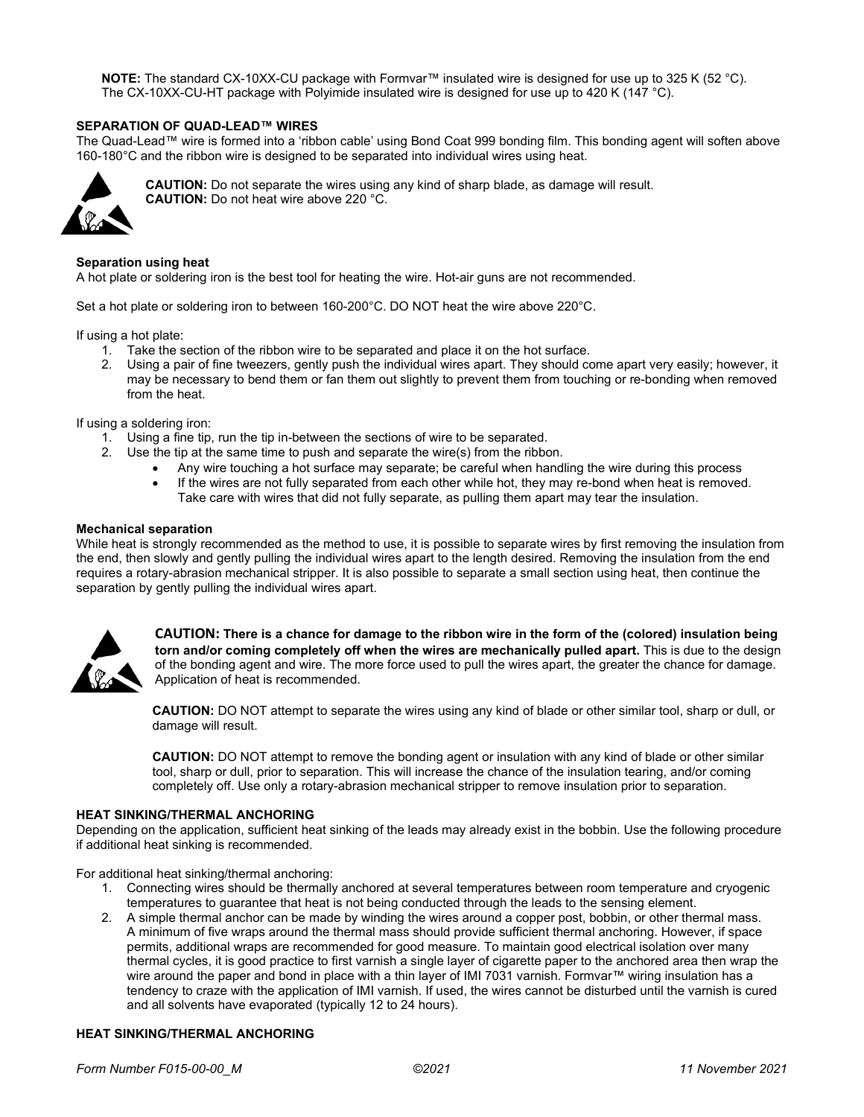**NOTE:** The standard CX-10XX-CU package with Formvar™ insulated wire is designed for use up to 325 K (52 °C). The CX-10XX-CU-HT package with Polyimide insulated wire is designed for use up to 420 K (147 °C).

# **SEPARATION OF QUAD-LEAD™ WIRES**

The Quad-Lead™ wire is formed into a 'ribbon cable' using Bond Coat 999 bonding film. This bonding agent will soften above 160-180°C and the ribbon wire is designed to be separated into individual wires using heat.



**CAUTION:** Do not separate the wires using any kind of sharp blade, as damage will result. **CAUTION:** Do not heat wire above 220 °C.

#### **Separation using heat**

A hot plate or soldering iron is the best tool for heating the wire. Hot-air guns are not recommended.

Set a hot plate or soldering iron to between 160-200°C. DO NOT heat the wire above 220°C.

If using a hot plate:

- 1. Take the section of the ribbon wire to be separated and place it on the hot surface.
- 2. Using a pair of fine tweezers, gently push the individual wires apart. They should come apart very easily; however, it may be necessary to bend them or fan them out slightly to prevent them from touching or re-bonding when removed from the heat.

## If using a soldering iron:

- 1. Using a fine tip, run the tip in-between the sections of wire to be separated.
- 2. Use the tip at the same time to push and separate the wire(s) from the ribbon.
	- Any wire touching a hot surface may separate; be careful when handling the wire during this process
	- If the wires are not fully separated from each other while hot, they may re-bond when heat is removed. Take care with wires that did not fully separate, as pulling them apart may tear the insulation.

#### **Mechanical separation**

While heat is strongly recommended as the method to use, it is possible to separate wires by first removing the insulation from the end, then slowly and gently pulling the individual wires apart to the length desired. Removing the insulation from the end requires a rotary-abrasion mechanical stripper. It is also possible to separate a small section using heat, then continue the separation by gently pulling the individual wires apart.



**CAUTION: There is a chance for damage to the ribbon wire in the form of the (colored) insulation being torn and/or coming completely off when the wires are mechanically pulled apart.** This is due to the design of the bonding agent and wire. The more force used to pull the wires apart, the greater the chance for damage. Application of heat is recommended.

**CAUTION:** DO NOT attempt to separate the wires using any kind of blade or other similar tool, sharp or dull, or damage will result.

**CAUTION:** DO NOT attempt to remove the bonding agent or insulation with any kind of blade or other similar tool, sharp or dull, prior to separation. This will increase the chance of the insulation tearing, and/or coming completely off. Use only a rotary-abrasion mechanical stripper to remove insulation prior to separation.

#### **HEAT SINKING/THERMAL ANCHORING**

Depending on the application, sufficient heat sinking of the leads may already exist in the bobbin. Use the following procedure if additional heat sinking is recommended.

For additional heat sinking/thermal anchoring:

- 1. Connecting wires should be thermally anchored at several temperatures between room temperature and cryogenic temperatures to guarantee that heat is not being conducted through the leads to the sensing element.
- 2. A simple thermal anchor can be made by winding the wires around a copper post, bobbin, or other thermal mass. A minimum of five wraps around the thermal mass should provide sufficient thermal anchoring. However, if space permits, additional wraps are recommended for good measure. To maintain good electrical isolation over many thermal cycles, it is good practice to first varnish a single layer of cigarette paper to the anchored area then wrap the wire around the paper and bond in place with a thin layer of IMI 7031 varnish. Formvar™ wiring insulation has a tendency to craze with the application of IMI varnish. If used, the wires cannot be disturbed until the varnish is cured and all solvents have evaporated (typically 12 to 24 hours).

## **HEAT SINKING/THERMAL ANCHORING**